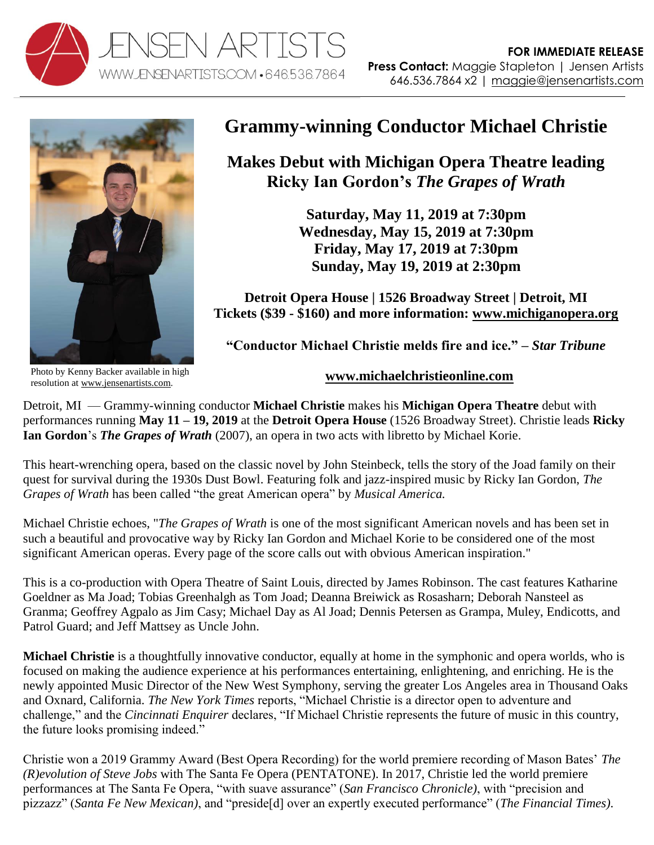



**Grammy-winning Conductor Michael Christie**

**Makes Debut with Michigan Opera Theatre leading Ricky Ian Gordon's** *The Grapes of Wrath*

> **Saturday, May 11, 2019 at 7:30pm Wednesday, May 15, 2019 at 7:30pm Friday, May 17, 2019 at 7:30pm Sunday, May 19, 2019 at 2:30pm**

**Detroit Opera House | 1526 Broadway Street | Detroit, MI Tickets (\$39 - \$160) and more information: [www.michiganopera.org](https://michiganopera.org/season-schedule/the-grapes-of-wrath)**

**"Conductor Michael Christie melds fire and ice." –** *Star Tribune*

Photo by Kenny Backer available in high resolution at [www.jensenartists.com.](http://www.jensenartists.com/)

**[www.michaelchristieonline.com](http://www.michaelchristieonline.com/)**

Detroit, MI — Grammy-winning conductor **Michael Christie** makes his **Michigan Opera Theatre** debut with performances running **May 11 – 19, 2019** at the **Detroit Opera House** (1526 Broadway Street). Christie leads **Ricky Ian Gordon**'s *The Grapes of Wrath* (2007), an opera in two acts with libretto by Michael Korie.

This heart-wrenching opera, based on the classic novel by John Steinbeck, tells the story of the Joad family on their quest for survival during the 1930s Dust Bowl. Featuring folk and jazz-inspired music by Ricky Ian Gordon, *The Grapes of Wrath* has been called "the great American opera" by *Musical America.* 

Michael Christie echoes, "*The Grapes of Wrath* is one of the most significant American novels and has been set in such a beautiful and provocative way by Ricky Ian Gordon and Michael Korie to be considered one of the most significant American operas. Every page of the score calls out with obvious American inspiration."

This is a co-production with Opera Theatre of Saint Louis, directed by James Robinson. The cast features Katharine Goeldner as Ma Joad; Tobias Greenhalgh as Tom Joad; Deanna Breiwick as Rosasharn; Deborah Nansteel as Granma; Geoffrey Agpalo as Jim Casy; Michael Day as Al Joad; Dennis Petersen as Grampa, Muley, Endicotts, and Patrol Guard; and Jeff Mattsey as Uncle John.

**Michael Christie** is a thoughtfully innovative conductor, equally at home in the symphonic and opera worlds, who is focused on making the audience experience at his performances entertaining, enlightening, and enriching. He is the newly appointed Music Director of the New West Symphony, serving the greater Los Angeles area in Thousand Oaks and Oxnard, California. *The New York Times* reports, "Michael Christie is a director open to adventure and challenge," and the *Cincinnati Enquirer* declares, "If Michael Christie represents the future of music in this country, the future looks promising indeed."

Christie won a 2019 Grammy Award (Best Opera Recording) for the world premiere recording of Mason Bates' *The (R)evolution of Steve Jobs* with The Santa Fe Opera (PENTATONE). In 2017, Christie led the world premiere performances at The Santa Fe Opera, "with suave assurance" (*San Francisco Chronicle)*, with "precision and pizzazz" (*Santa Fe New Mexican)*, and "preside[d] over an expertly executed performance" (*The Financial Times)*.